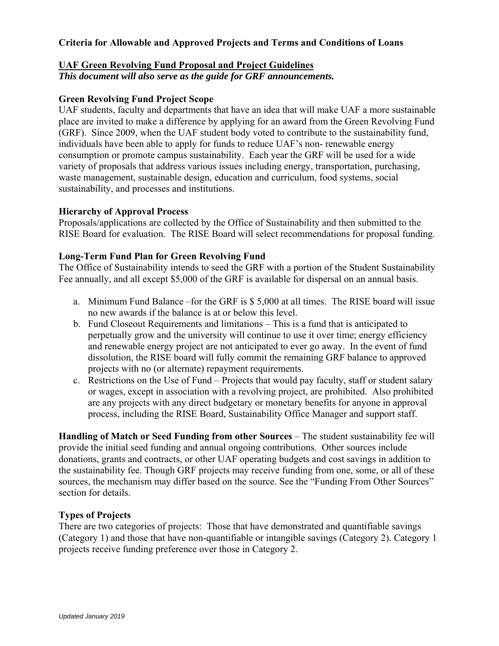# **Criteria for Allowable and Approved Projects and Terms and Conditions of Loans**

### **UAF Green Revolving Fund Proposal and Project Guidelines**

*This document will also serve as the guide for GRF announcements.* 

## **Green Revolving Fund Project Scope**

UAF students, faculty and departments that have an idea that will make UAF a more sustainable place are invited to make a difference by applying for an award from the Green Revolving Fund (GRF). Since 2009, when the UAF student body voted to contribute to the sustainability fund, individuals have been able to apply for funds to reduce UAF's non- renewable energy consumption or promote campus sustainability. Each year the GRF will be used for a wide variety of proposals that address various issues including energy, transportation, purchasing, waste management, sustainable design, education and curriculum, food systems, social sustainability, and processes and institutions.

#### **Hierarchy of Approval Process**

Proposals/applications are collected by the Office of Sustainability and then submitted to the RISE Board for evaluation. The RISE Board will select recommendations for proposal funding.

### **Long-Term Fund Plan for Green Revolving Fund**

The Office of Sustainability intends to seed the GRF with a portion of the Student Sustainability Fee annually, and all except \$5,000 of the GRF is available for dispersal on an annual basis.

- a. Minimum Fund Balance –for the GRF is \$ 5,000 at all times. The RISE board will issue no new awards if the balance is at or below this level.
- b. Fund Closeout Requirements and limitations This is a fund that is anticipated to perpetually grow and the university will continue to use it over time; energy efficiency and renewable energy project are not anticipated to ever go away. In the event of fund dissolution, the RISE board will fully commit the remaining GRF balance to approved projects with no (or alternate) repayment requirements.
- c. Restrictions on the Use of Fund Projects that would pay faculty, staff or student salary or wages, except in association with a revolving project, are prohibited. Also prohibited are any projects with any direct budgetary or monetary benefits for anyone in approval process, including the RISE Board, Sustainability Office Manager and support staff.

**Handling of Match or Seed Funding from other Sources** – The student sustainability fee will provide the initial seed funding and annual ongoing contributions. Other sources include donations, grants and contracts, or other UAF operating budgets and cost savings in addition to the sustainability fee. Though GRF projects may receive funding from one, some, or all of these sources, the mechanism may differ based on the source. See the "Funding From Other Sources" section for details.

#### **Types of Projects**

There are two categories of projects: Those that have demonstrated and quantifiable savings (Category 1) and those that have non-quantifiable or intangible savings (Category 2). Category 1 projects receive funding preference over those in Category 2.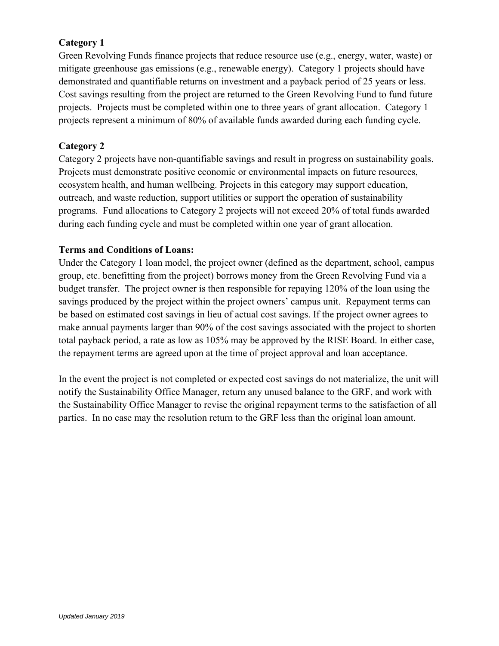# **Category 1**

Green Revolving Funds finance projects that reduce resource use (e.g., energy, water, waste) or mitigate greenhouse gas emissions (e.g., renewable energy). Category 1 projects should have demonstrated and quantifiable returns on investment and a payback period of 25 years or less. Cost savings resulting from the project are returned to the Green Revolving Fund to fund future projects. Projects must be completed within one to three years of grant allocation. Category 1 projects represent a minimum of 80% of available funds awarded during each funding cycle.

# **Category 2**

Category 2 projects have non-quantifiable savings and result in progress on sustainability goals. Projects must demonstrate positive economic or environmental impacts on future resources, ecosystem health, and human wellbeing. Projects in this category may support education, outreach, and waste reduction, support utilities or support the operation of sustainability programs. Fund allocations to Category 2 projects will not exceed 20% of total funds awarded during each funding cycle and must be completed within one year of grant allocation.

# **Terms and Conditions of Loans:**

Under the Category 1 loan model, the project owner (defined as the department, school, campus group, etc. benefitting from the project) borrows money from the Green Revolving Fund via a budget transfer. The project owner is then responsible for repaying 120% of the loan using the savings produced by the project within the project owners' campus unit. Repayment terms can be based on estimated cost savings in lieu of actual cost savings. If the project owner agrees to make annual payments larger than 90% of the cost savings associated with the project to shorten total payback period, a rate as low as 105% may be approved by the RISE Board. In either case, the repayment terms are agreed upon at the time of project approval and loan acceptance.

In the event the project is not completed or expected cost savings do not materialize, the unit will notify the Sustainability Office Manager, return any unused balance to the GRF, and work with the Sustainability Office Manager to revise the original repayment terms to the satisfaction of all parties. In no case may the resolution return to the GRF less than the original loan amount.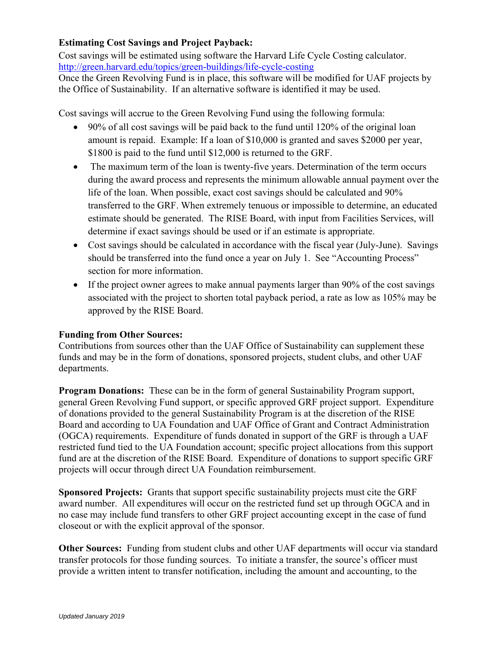# **Estimating Cost Savings and Project Payback:**

Cost savings will be estimated using software the Harvard Life Cycle Costing calculator. http://green.harvard.edu/topics/green-buildings/life-cycle-costing

Once the Green Revolving Fund is in place, this software will be modified for UAF projects by the Office of Sustainability. If an alternative software is identified it may be used.

Cost savings will accrue to the Green Revolving Fund using the following formula:

- 90% of all cost savings will be paid back to the fund until 120% of the original loan amount is repaid. Example: If a loan of \$10,000 is granted and saves \$2000 per year, \$1800 is paid to the fund until \$12,000 is returned to the GRF.
- The maximum term of the loan is twenty-five years. Determination of the term occurs during the award process and represents the minimum allowable annual payment over the life of the loan. When possible, exact cost savings should be calculated and 90% transferred to the GRF. When extremely tenuous or impossible to determine, an educated estimate should be generated. The RISE Board, with input from Facilities Services, will determine if exact savings should be used or if an estimate is appropriate.
- Cost savings should be calculated in accordance with the fiscal year (July-June). Savings should be transferred into the fund once a year on July 1. See "Accounting Process" section for more information.
- If the project owner agrees to make annual payments larger than 90% of the cost savings associated with the project to shorten total payback period, a rate as low as 105% may be approved by the RISE Board.

# **Funding from Other Sources:**

Contributions from sources other than the UAF Office of Sustainability can supplement these funds and may be in the form of donations, sponsored projects, student clubs, and other UAF departments.

**Program Donations:** These can be in the form of general Sustainability Program support, general Green Revolving Fund support, or specific approved GRF project support. Expenditure of donations provided to the general Sustainability Program is at the discretion of the RISE Board and according to UA Foundation and UAF Office of Grant and Contract Administration (OGCA) requirements. Expenditure of funds donated in support of the GRF is through a UAF restricted fund tied to the UA Foundation account; specific project allocations from this support fund are at the discretion of the RISE Board. Expenditure of donations to support specific GRF projects will occur through direct UA Foundation reimbursement.

**Sponsored Projects:** Grants that support specific sustainability projects must cite the GRF award number. All expenditures will occur on the restricted fund set up through OGCA and in no case may include fund transfers to other GRF project accounting except in the case of fund closeout or with the explicit approval of the sponsor.

**Other Sources:** Funding from student clubs and other UAF departments will occur via standard transfer protocols for those funding sources. To initiate a transfer, the source's officer must provide a written intent to transfer notification, including the amount and accounting, to the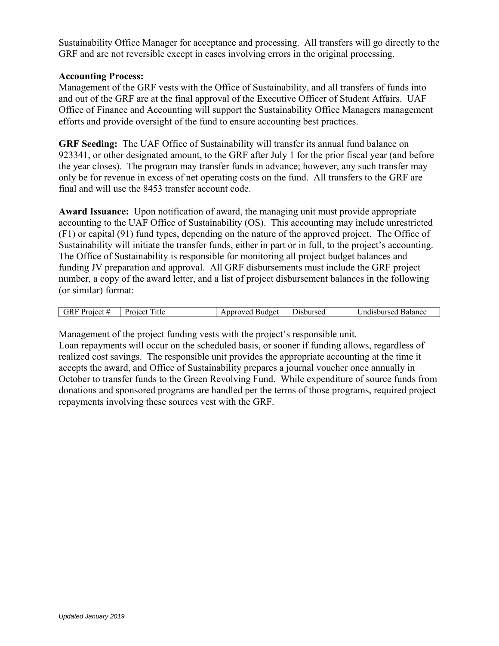Sustainability Office Manager for acceptance and processing. All transfers will go directly to the GRF and are not reversible except in cases involving errors in the original processing.

#### **Accounting Process:**

Management of the GRF vests with the Office of Sustainability, and all transfers of funds into and out of the GRF are at the final approval of the Executive Officer of Student Affairs. UAF Office of Finance and Accounting will support the Sustainability Office Managers management efforts and provide oversight of the fund to ensure accounting best practices.

**GRF Seeding:** The UAF Office of Sustainability will transfer its annual fund balance on 923341, or other designated amount, to the GRF after July 1 for the prior fiscal year (and before the year closes). The program may transfer funds in advance; however, any such transfer may only be for revenue in excess of net operating costs on the fund. All transfers to the GRF are final and will use the 8453 transfer account code.

**Award Issuance:** Upon notification of award, the managing unit must provide appropriate accounting to the UAF Office of Sustainability (OS). This accounting may include unrestricted (F1) or capital (91) fund types, depending on the nature of the approved project. The Office of Sustainability will initiate the transfer funds, either in part or in full, to the project's accounting. The Office of Sustainability is responsible for monitoring all project budget balances and funding JV preparation and approval. All GRF disbursements must include the GRF project number, a copy of the award letter, and a list of project disbursement balances in the following (or similar) format:

| . iR '<br>Project. | $\overline{\phantom{0}}$<br><sub>1</sub> tle<br>140101<br>rojet | ™nroveo<br><b>Budget</b><br>тэгэг<br>. | 110h11r0d<br>יימ.<br>50U | Balance<br>$n$ 11 $re$ e $\alpha$<br>snir<br>чит.<br>- - - - - |
|--------------------|-----------------------------------------------------------------|----------------------------------------|--------------------------|----------------------------------------------------------------|

Management of the project funding vests with the project's responsible unit.

Loan repayments will occur on the scheduled basis, or sooner if funding allows, regardless of realized cost savings. The responsible unit provides the appropriate accounting at the time it accepts the award, and Office of Sustainability prepares a journal voucher once annually in October to transfer funds to the Green Revolving Fund. While expenditure of source funds from donations and sponsored programs are handled per the terms of those programs, required project repayments involving these sources vest with the GRF.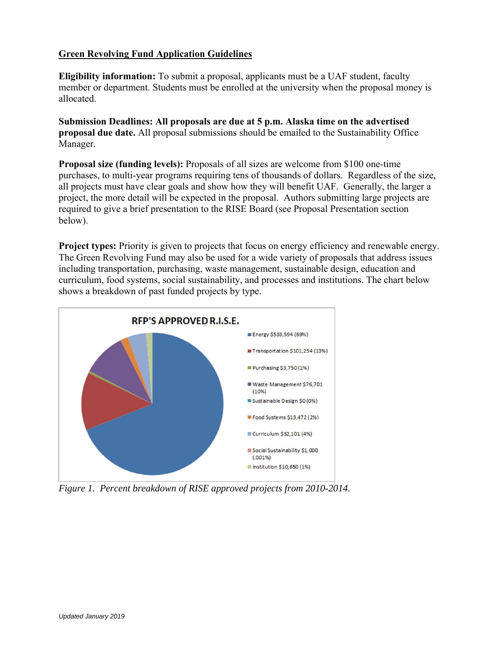# **Green Revolving Fund Application Guidelines**

**Eligibility information:** To submit a proposal, applicants must be a UAF student, faculty member or department. Students must be enrolled at the university when the proposal money is allocated.

**Submission Deadlines: All proposals are due at 5 p.m. Alaska time on the advertised proposal due date.** All proposal submissions should be emailed to the Sustainability Office Manager*.*

**Proposal size (funding levels):** Proposals of all sizes are welcome from \$100 one-time purchases, to multi-year programs requiring tens of thousands of dollars. Regardless of the size, all projects must have clear goals and show how they will benefit UAF. Generally, the larger a project, the more detail will be expected in the proposal. Authors submitting large projects are required to give a brief presentation to the RISE Board (see Proposal Presentation section below).

**Project types:** Priority is given to projects that focus on energy efficiency and renewable energy. The Green Revolving Fund may also be used for a wide variety of proposals that address issues including transportation, purchasing, waste management, sustainable design, education and curriculum, food systems, social sustainability, and processes and institutions. The chart below shows a breakdown of past funded projects by type.



*Figure 1. Percent breakdown of RISE approved projects from 2010-2014.*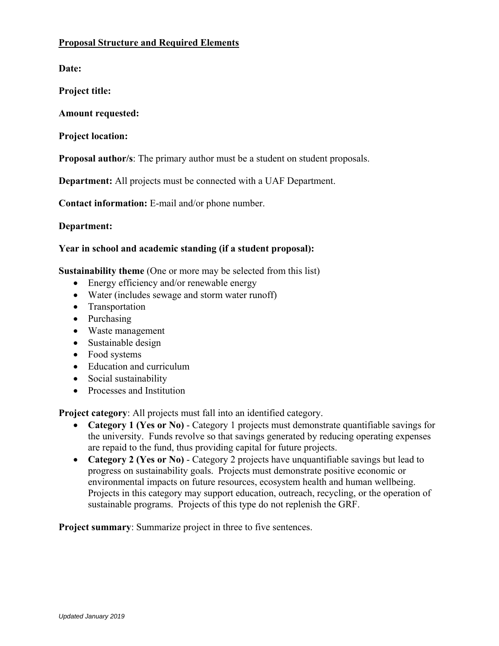# **Proposal Structure and Required Elements**

**Date:**

**Project title:** 

**Amount requested:** 

**Project location:**

**Proposal author/s**: The primary author must be a student on student proposals.

**Department:** All projects must be connected with a UAF Department.

**Contact information:** E-mail and/or phone number.

**Department:** 

# **Year in school and academic standing (if a student proposal):**

**Sustainability theme** (One or more may be selected from this list)

- Energy efficiency and/or renewable energy
- Water (includes sewage and storm water runoff)
- Transportation
- Purchasing
- Waste management
- Sustainable design
- Food systems
- Education and curriculum
- Social sustainability
- Processes and Institution

**Project category**: All projects must fall into an identified category.

- **Category 1 (Yes or No)** Category 1 projects must demonstrate quantifiable savings for the university. Funds revolve so that savings generated by reducing operating expenses are repaid to the fund, thus providing capital for future projects.
- **Category 2 (Yes or No)** Category 2 projects have unquantifiable savings but lead to progress on sustainability goals. Projects must demonstrate positive economic or environmental impacts on future resources, ecosystem health and human wellbeing. Projects in this category may support education, outreach, recycling, or the operation of sustainable programs. Projects of this type do not replenish the GRF.

**Project summary**: Summarize project in three to five sentences.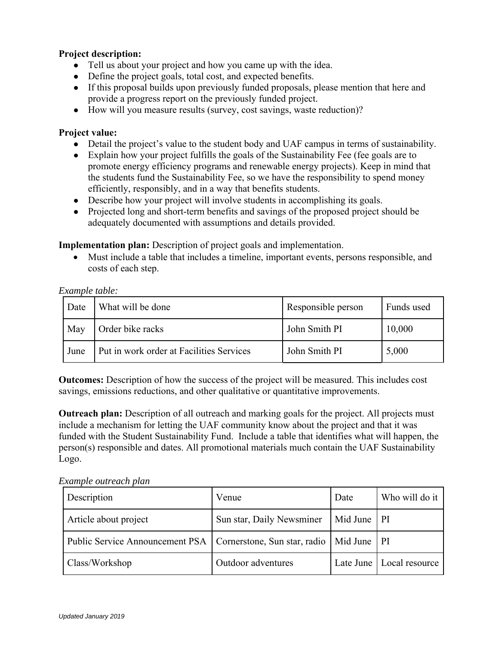# **Project description:**

- Tell us about your project and how you came up with the idea.
- Define the project goals, total cost, and expected benefits.
- If this proposal builds upon previously funded proposals, please mention that here and provide a progress report on the previously funded project.
- How will you measure results (survey, cost savings, waste reduction)?

### **Project value:**

- Detail the project's value to the student body and UAF campus in terms of sustainability.
- Explain how your project fulfills the goals of the Sustainability Fee (fee goals are to promote energy efficiency programs and renewable energy projects). Keep in mind that the students fund the Sustainability Fee, so we have the responsibility to spend money efficiently, responsibly, and in a way that benefits students.
- Describe how your project will involve students in accomplishing its goals.
- Projected long and short-term benefits and savings of the proposed project should be adequately documented with assumptions and details provided.

**Implementation plan:** Description of project goals and implementation.

 Must include a table that includes a timeline, important events, persons responsible, and costs of each step.

#### *Example table:*

| Date | What will be done                        | Responsible person | Funds used |
|------|------------------------------------------|--------------------|------------|
| May  | Order bike racks                         | John Smith PI      | 10,000     |
| June | Put in work order at Facilities Services | John Smith PI      | 5,000      |

**Outcomes:** Description of how the success of the project will be measured. This includes cost savings, emissions reductions, and other qualitative or quantitative improvements.

**Outreach plan:** Description of all outreach and marking goals for the project. All projects must include a mechanism for letting the UAF community know about the project and that it was funded with the Student Sustainability Fund. Include a table that identifies what will happen, the person(s) responsible and dates. All promotional materials much contain the UAF Sustainability Logo.

*Example outreach plan* 

| Description                                                                    | Venue                     | Date      | Who will do it |
|--------------------------------------------------------------------------------|---------------------------|-----------|----------------|
| Article about project                                                          | Sun star, Daily Newsminer | Mid June  | P              |
| Public Service Announcement PSA   Cornerstone, Sun star, radio   Mid June   PI |                           |           |                |
| Class/Workshop                                                                 | Outdoor adventures        | Late June | Local resource |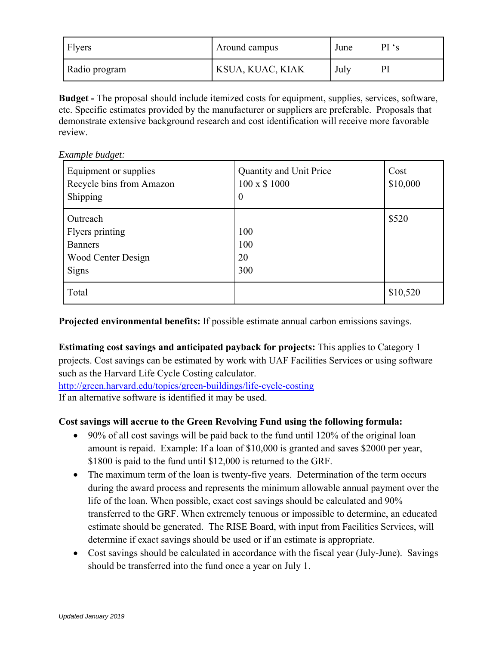| Flyers        | Around campus    | June | PI's |
|---------------|------------------|------|------|
| Radio program | KSUA, KUAC, KIAK | July | Pl   |

**Budget -** The proposal should include itemized costs for equipment, supplies, services, software, etc. Specific estimates provided by the manufacturer or suppliers are preferable. Proposals that demonstrate extensive background research and cost identification will receive more favorable review.

*Example budget:* 

| Equipment or supplies<br>Recycle bins from Amazon<br>Shipping                | Quantity and Unit Price<br>100 x \$ 1000<br>$\theta$ | Cost<br>\$10,000 |
|------------------------------------------------------------------------------|------------------------------------------------------|------------------|
| Outreach<br>Flyers printing<br><b>Banners</b><br>Wood Center Design<br>Signs | 100<br>100<br>20<br>300                              | \$520            |
| Total                                                                        |                                                      | \$10,520         |

**Projected environmental benefits:** If possible estimate annual carbon emissions savings.

**Estimating cost savings and anticipated payback for projects:** This applies to Category 1 projects. Cost savings can be estimated by work with UAF Facilities Services or using software such as the Harvard Life Cycle Costing calculator.

http://green.harvard.edu/topics/green-buildings/life-cycle-costing If an alternative software is identified it may be used.

# **Cost savings will accrue to the Green Revolving Fund using the following formula:**

- 90% of all cost savings will be paid back to the fund until 120% of the original loan amount is repaid. Example: If a loan of \$10,000 is granted and saves \$2000 per year, \$1800 is paid to the fund until \$12,000 is returned to the GRF.
- The maximum term of the loan is twenty-five years. Determination of the term occurs during the award process and represents the minimum allowable annual payment over the life of the loan. When possible, exact cost savings should be calculated and 90% transferred to the GRF. When extremely tenuous or impossible to determine, an educated estimate should be generated. The RISE Board, with input from Facilities Services, will determine if exact savings should be used or if an estimate is appropriate.
- Cost savings should be calculated in accordance with the fiscal year (July-June). Savings should be transferred into the fund once a year on July 1.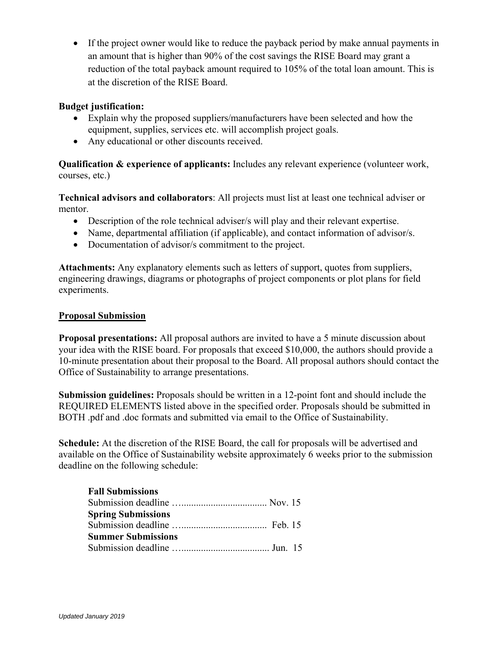• If the project owner would like to reduce the payback period by make annual payments in an amount that is higher than 90% of the cost savings the RISE Board may grant a reduction of the total payback amount required to 105% of the total loan amount. This is at the discretion of the RISE Board.

## **Budget justification:**

- Explain why the proposed suppliers/manufacturers have been selected and how the equipment, supplies, services etc. will accomplish project goals.
- Any educational or other discounts received.

**Qualification & experience of applicants:** Includes any relevant experience (volunteer work, courses, etc.)

**Technical advisors and collaborators**: All projects must list at least one technical adviser or mentor.

- Description of the role technical adviser/s will play and their relevant expertise.
- Name, departmental affiliation (if applicable), and contact information of advisor/s.
- Documentation of advisor/s commitment to the project.

**Attachments:** Any explanatory elements such as letters of support, quotes from suppliers, engineering drawings, diagrams or photographs of project components or plot plans for field experiments.

### **Proposal Submission**

**Proposal presentations:** All proposal authors are invited to have a 5 minute discussion about your idea with the RISE board. For proposals that exceed \$10,000, the authors should provide a 10-minute presentation about their proposal to the Board. All proposal authors should contact the Office of Sustainability to arrange presentations.

**Submission guidelines:** Proposals should be written in a 12-point font and should include the REQUIRED ELEMENTS listed above in the specified order. Proposals should be submitted in BOTH .pdf and .doc formats and submitted via email to the Office of Sustainability.

**Schedule:** At the discretion of the RISE Board, the call for proposals will be advertised and available on the Office of Sustainability website approximately 6 weeks prior to the submission deadline on the following schedule:

| <b>Fall Submissions</b>   |  |
|---------------------------|--|
|                           |  |
| <b>Spring Submissions</b> |  |
|                           |  |
| <b>Summer Submissions</b> |  |
|                           |  |